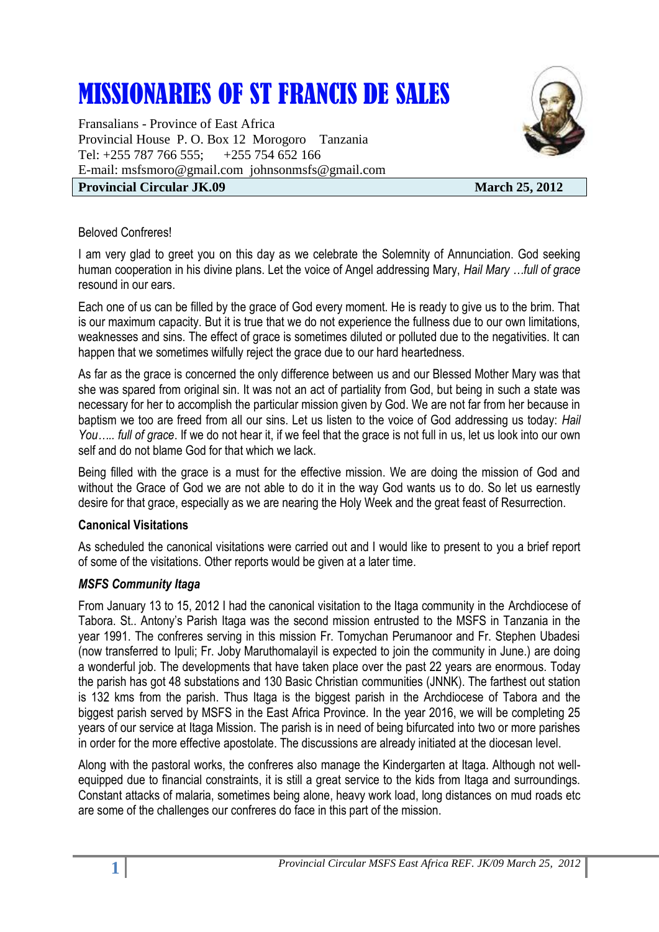# MISSIONARIES OF ST FRANCIS DE SALES

Fransalians - Province of East Africa Provincial House P. O. Box 12 Morogoro Tanzania Tel: +255 787 766 555; +255 754 652 166 E-mail: [msfsmoro@gmail.com](mailto:msfsmoro@gmail.com) johnsonmsfs@gmail.com

# **Provincial Circular JK.09** March 25, 2012

## Beloved Confreres!

I am very glad to greet you on this day as we celebrate the Solemnity of Annunciation. God seeking human cooperation in his divine plans. Let the voice of Angel addressing Mary, *Hail Mary …full of grace* resound in our ears.

Each one of us can be filled by the grace of God every moment. He is ready to give us to the brim. That is our maximum capacity. But it is true that we do not experience the fullness due to our own limitations, weaknesses and sins. The effect of grace is sometimes diluted or polluted due to the negativities. It can happen that we sometimes wilfully reject the grace due to our hard heartedness.

As far as the grace is concerned the only difference between us and our Blessed Mother Mary was that she was spared from original sin. It was not an act of partiality from God, but being in such a state was necessary for her to accomplish the particular mission given by God. We are not far from her because in baptism we too are freed from all our sins. Let us listen to the voice of God addressing us today: *Hail You….. full of grace*. If we do not hear it, if we feel that the grace is not full in us, let us look into our own self and do not blame God for that which we lack.

Being filled with the grace is a must for the effective mission. We are doing the mission of God and without the Grace of God we are not able to do it in the way God wants us to do. So let us earnestly desire for that grace, especially as we are nearing the Holy Week and the great feast of Resurrection.

#### **Canonical Visitations**

As scheduled the canonical visitations were carried out and I would like to present to you a brief report of some of the visitations. Other reports would be given at a later time.

## *MSFS Community Itaga*

From January 13 to 15, 2012 I had the canonical visitation to the Itaga community in the Archdiocese of Tabora. St.. Antony's Parish Itaga was the second mission entrusted to the MSFS in Tanzania in the year 1991. The confreres serving in this mission Fr. Tomychan Perumanoor and Fr. Stephen Ubadesi (now transferred to Ipuli; Fr. Joby Maruthomalayil is expected to join the community in June.) are doing a wonderful job. The developments that have taken place over the past 22 years are enormous. Today the parish has got 48 substations and 130 Basic Christian communities (JNNK). The farthest out station is 132 kms from the parish. Thus Itaga is the biggest parish in the Archdiocese of Tabora and the biggest parish served by MSFS in the East Africa Province. In the year 2016, we will be completing 25 years of our service at Itaga Mission. The parish is in need of being bifurcated into two or more parishes in order for the more effective apostolate. The discussions are already initiated at the diocesan level.

Along with the pastoral works, the confreres also manage the Kindergarten at Itaga. Although not wellequipped due to financial constraints, it is still a great service to the kids from Itaga and surroundings. Constant attacks of malaria, sometimes being alone, heavy work load, long distances on mud roads etc are some of the challenges our confreres do face in this part of the mission.

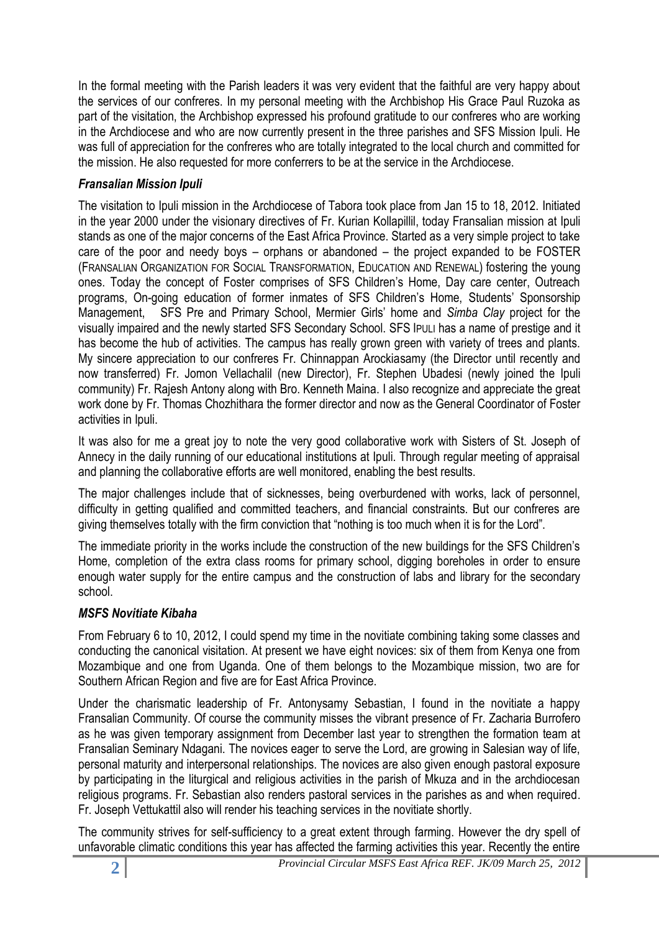In the formal meeting with the Parish leaders it was very evident that the faithful are very happy about the services of our confreres. In my personal meeting with the Archbishop His Grace Paul Ruzoka as part of the visitation, the Archbishop expressed his profound gratitude to our confreres who are working in the Archdiocese and who are now currently present in the three parishes and SFS Mission Ipuli. He was full of appreciation for the confreres who are totally integrated to the local church and committed for the mission. He also requested for more conferrers to be at the service in the Archdiocese.

# *Fransalian Mission Ipuli*

The visitation to Ipuli mission in the Archdiocese of Tabora took place from Jan 15 to 18, 2012. Initiated in the year 2000 under the visionary directives of Fr. Kurian Kollapillil, today Fransalian mission at Ipuli stands as one of the major concerns of the East Africa Province. Started as a very simple project to take care of the poor and needy boys – orphans or abandoned – the project expanded to be FOSTER (FRANSALIAN ORGANIZATION FOR SOCIAL TRANSFORMATION, EDUCATION AND RENEWAL) fostering the young ones. Today the concept of Foster comprises of SFS Children's Home, Day care center, Outreach programs, On-going education of former inmates of SFS Children's Home, Students' Sponsorship Management, SFS Pre and Primary School, Mermier Girls' home and *Simba Clay* project for the visually impaired and the newly started SFS Secondary School. SFS IPULI has a name of prestige and it has become the hub of activities. The campus has really grown green with variety of trees and plants. My sincere appreciation to our confreres Fr. Chinnappan Arockiasamy (the Director until recently and now transferred) Fr. Jomon Vellachalil (new Director), Fr. Stephen Ubadesi (newly joined the Ipuli community) Fr. Rajesh Antony along with Bro. Kenneth Maina. I also recognize and appreciate the great work done by Fr. Thomas Chozhithara the former director and now as the General Coordinator of Foster activities in Ipuli.

It was also for me a great joy to note the very good collaborative work with Sisters of St. Joseph of Annecy in the daily running of our educational institutions at Ipuli. Through regular meeting of appraisal and planning the collaborative efforts are well monitored, enabling the best results.

The major challenges include that of sicknesses, being overburdened with works, lack of personnel, difficulty in getting qualified and committed teachers, and financial constraints. But our confreres are giving themselves totally with the firm conviction that "nothing is too much when it is for the Lord".

The immediate priority in the works include the construction of the new buildings for the SFS Children's Home, completion of the extra class rooms for primary school, digging boreholes in order to ensure enough water supply for the entire campus and the construction of labs and library for the secondary school.

## *MSFS Novitiate Kibaha*

From February 6 to 10, 2012, I could spend my time in the novitiate combining taking some classes and conducting the canonical visitation. At present we have eight novices: six of them from Kenya one from Mozambique and one from Uganda. One of them belongs to the Mozambique mission, two are for Southern African Region and five are for East Africa Province.

Under the charismatic leadership of Fr. Antonysamy Sebastian, I found in the novitiate a happy Fransalian Community. Of course the community misses the vibrant presence of Fr. Zacharia Burrofero as he was given temporary assignment from December last year to strengthen the formation team at Fransalian Seminary Ndagani. The novices eager to serve the Lord, are growing in Salesian way of life, personal maturity and interpersonal relationships. The novices are also given enough pastoral exposure by participating in the liturgical and religious activities in the parish of Mkuza and in the archdiocesan religious programs. Fr. Sebastian also renders pastoral services in the parishes as and when required. Fr. Joseph Vettukattil also will render his teaching services in the novitiate shortly.

The community strives for self-sufficiency to a great extent through farming. However the dry spell of unfavorable climatic conditions this year has affected the farming activities this year. Recently the entire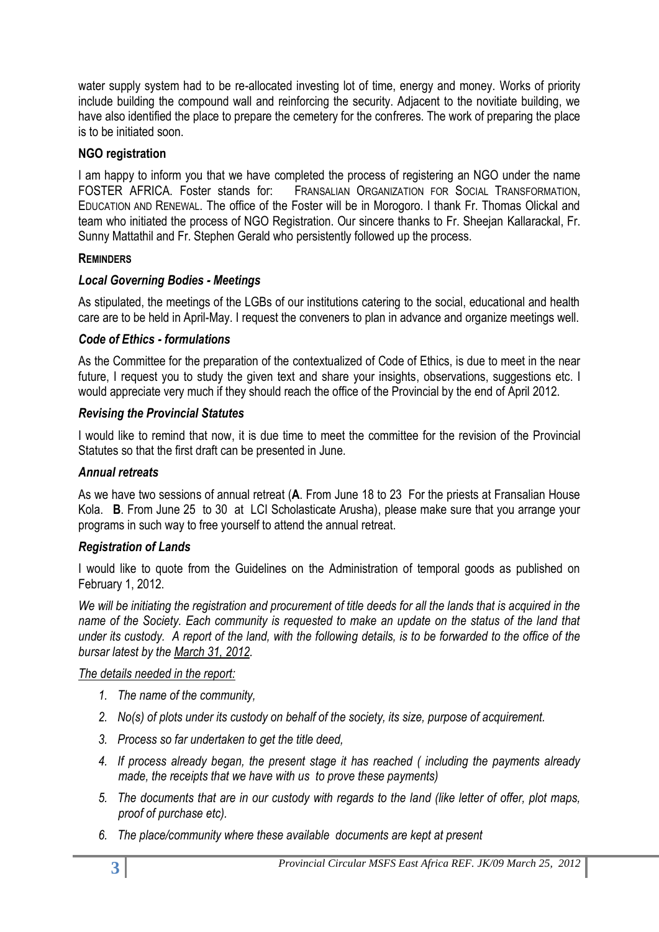water supply system had to be re-allocated investing lot of time, energy and money. Works of priority include building the compound wall and reinforcing the security. Adjacent to the novitiate building, we have also identified the place to prepare the cemetery for the confreres. The work of preparing the place is to be initiated soon.

## **NGO registration**

I am happy to inform you that we have completed the process of registering an NGO under the name FOSTER AFRICA. Foster stands for: FRANSALIAN ORGANIZATION FOR SOCIAL TRANSFORMATION, EDUCATION AND RENEWAL. The office of the Foster will be in Morogoro. I thank Fr. Thomas Olickal and team who initiated the process of NGO Registration. Our sincere thanks to Fr. Sheejan Kallarackal, Fr. Sunny Mattathil and Fr. Stephen Gerald who persistently followed up the process.

## **REMINDERS**

# *Local Governing Bodies - Meetings*

As stipulated, the meetings of the LGBs of our institutions catering to the social, educational and health care are to be held in April-May. I request the conveners to plan in advance and organize meetings well.

# *Code of Ethics - formulations*

As the Committee for the preparation of the contextualized of Code of Ethics, is due to meet in the near future, I request you to study the given text and share your insights, observations, suggestions etc. I would appreciate very much if they should reach the office of the Provincial by the end of April 2012.

# *Revising the Provincial Statutes*

I would like to remind that now, it is due time to meet the committee for the revision of the Provincial Statutes so that the first draft can be presented in June.

## *Annual retreats*

As we have two sessions of annual retreat (**A**. From June 18 to 23 For the priests at Fransalian House Kola. **B**. From June 25 to 30 at LCI Scholasticate Arusha), please make sure that you arrange your programs in such way to free yourself to attend the annual retreat.

## *Registration of Lands*

I would like to quote from the Guidelines on the Administration of temporal goods as published on February 1, 2012.

*We will be initiating the registration and procurement of title deeds for all the lands that is acquired in the name of the Society. Each community is requested to make an update on the status of the land that under its custody. A report of the land, with the following details, is to be forwarded to the office of the bursar latest by the March 31, 2012.*

## *The details needed in the report:*

- *1. The name of the community,*
- *2. No(s) of plots under its custody on behalf of the society, its size, purpose of acquirement.*
- *3. Process so far undertaken to get the title deed,*
- *4. If process already began, the present stage it has reached ( including the payments already made, the receipts that we have with us to prove these payments)*
- *5. The documents that are in our custody with regards to the land (like letter of offer, plot maps, proof of purchase etc).*
- *6. The place/community where these available documents are kept at present*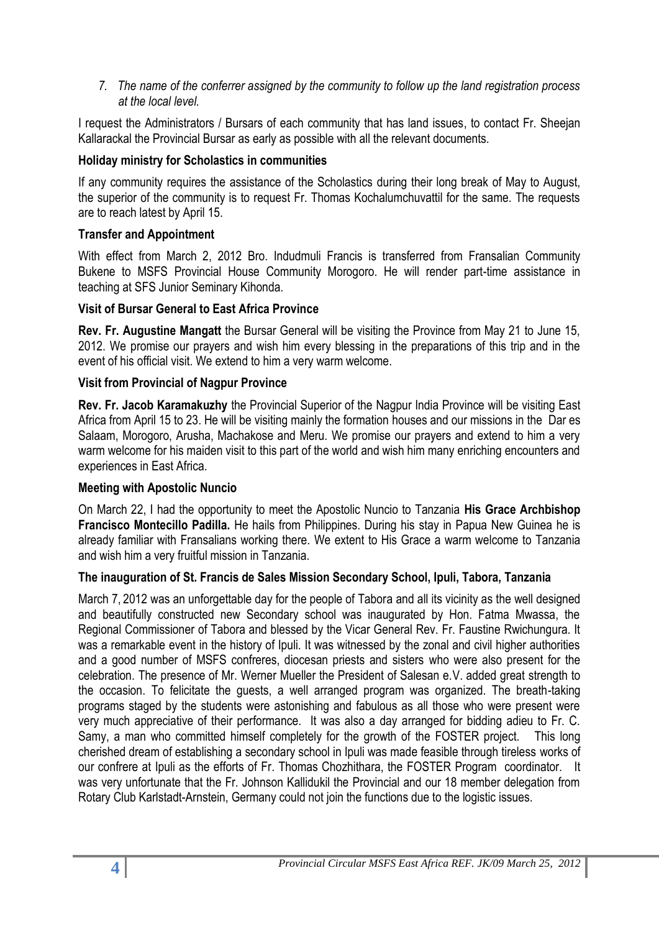*7. The name of the conferrer assigned by the community to follow up the land registration process at the local level.* 

I request the Administrators / Bursars of each community that has land issues, to contact Fr. Sheejan Kallarackal the Provincial Bursar as early as possible with all the relevant documents.

## **Holiday ministry for Scholastics in communities**

If any community requires the assistance of the Scholastics during their long break of May to August, the superior of the community is to request Fr. Thomas Kochalumchuvattil for the same. The requests are to reach latest by April 15.

## **Transfer and Appointment**

With effect from March 2, 2012 Bro. Indudmuli Francis is transferred from Fransalian Community Bukene to MSFS Provincial House Community Morogoro. He will render part-time assistance in teaching at SFS Junior Seminary Kihonda.

## **Visit of Bursar General to East Africa Province**

**Rev. Fr. Augustine Mangatt** the Bursar General will be visiting the Province from May 21 to June 15, 2012. We promise our prayers and wish him every blessing in the preparations of this trip and in the event of his official visit. We extend to him a very warm welcome.

## **Visit from Provincial of Nagpur Province**

**Rev. Fr. Jacob Karamakuzhy** the Provincial Superior of the Nagpur India Province will be visiting East Africa from April 15 to 23. He will be visiting mainly the formation houses and our missions in the Dar es Salaam, Morogoro, Arusha, Machakose and Meru. We promise our prayers and extend to him a very warm welcome for his maiden visit to this part of the world and wish him many enriching encounters and experiences in East Africa.

#### **Meeting with Apostolic Nuncio**

On March 22, I had the opportunity to meet the Apostolic Nuncio to Tanzania **His Grace Archbishop Francisco Montecillo Padilla.** He hails from Philippines. During his stay in Papua New Guinea he is already familiar with Fransalians working there. We extent to His Grace a warm welcome to Tanzania and wish him a very fruitful mission in Tanzania.

## **The inauguration of St. Francis de Sales Mission Secondary School, Ipuli, Tabora, Tanzania**

March 7, 2012 was an unforgettable day for the people of Tabora and all its vicinity as the well designed and beautifully constructed new Secondary school was inaugurated by Hon. Fatma Mwassa, the Regional Commissioner of Tabora and blessed by the Vicar General Rev. Fr. Faustine Rwichungura. It was a remarkable event in the history of Ipuli. It was witnessed by the zonal and civil higher authorities and a good number of MSFS confreres, diocesan priests and sisters who were also present for the celebration. The presence of Mr. Werner Mueller the President of Salesan e.V. added great strength to the occasion. To felicitate the guests, a well arranged program was organized. The breath-taking programs staged by the students were astonishing and fabulous as all those who were present were very much appreciative of their performance. It was also a day arranged for bidding adieu to Fr. C. Samy, a man who committed himself completely for the growth of the FOSTER project. This long cherished dream of establishing a secondary school in Ipuli was made feasible through tireless works of our confrere at Ipuli as the efforts of Fr. Thomas Chozhithara, the FOSTER Program coordinator. It was very unfortunate that the Fr. Johnson Kallidukil the Provincial and our 18 member delegation from Rotary Club Karlstadt-Arnstein, Germany could not join the functions due to the logistic issues.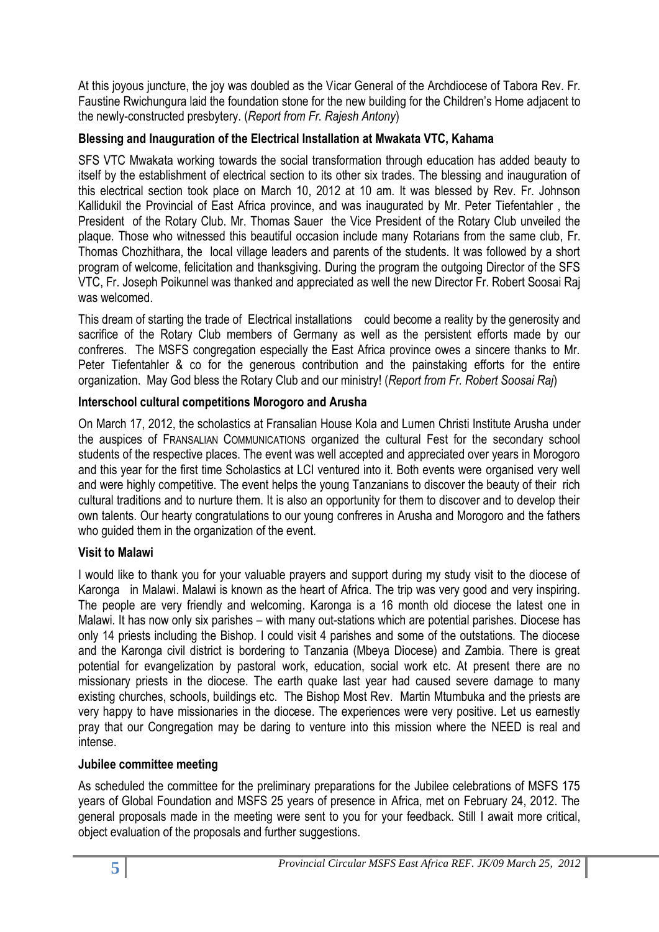At this joyous juncture, the joy was doubled as the Vicar General of the Archdiocese of Tabora Rev. Fr. Faustine Rwichungura laid the foundation stone for the new building for the Children's Home adjacent to the newly-constructed presbytery. (*Report from Fr. Rajesh Antony*)

## **Blessing and Inauguration of the Electrical Installation at Mwakata VTC, Kahama**

SFS VTC Mwakata working towards the social transformation through education has added beauty to itself by the establishment of electrical section to its other six trades. The blessing and inauguration of this electrical section took place on March 10, 2012 at 10 am. It was blessed by Rev. Fr. Johnson Kallidukil the Provincial of East Africa province, and was inaugurated by Mr. Peter Tiefentahler , the President of the Rotary Club. Mr. Thomas Sauer the Vice President of the Rotary Club unveiled the plaque. Those who witnessed this beautiful occasion include many Rotarians from the same club, Fr. Thomas Chozhithara, the local village leaders and parents of the students. It was followed by a short program of welcome, felicitation and thanksgiving. During the program the outgoing Director of the SFS VTC, Fr. Joseph Poikunnel was thanked and appreciated as well the new Director Fr. Robert Soosai Raj was welcomed.

This dream of starting the trade of Electrical installations could become a reality by the generosity and sacrifice of the Rotary Club members of Germany as well as the persistent efforts made by our confreres. The MSFS congregation especially the East Africa province owes a sincere thanks to Mr. Peter Tiefentahler & co for the generous contribution and the painstaking efforts for the entire organization. May God bless the Rotary Club and our ministry! (*Report from Fr. Robert Soosai Raj*)

# **Interschool cultural competitions Morogoro and Arusha**

On March 17, 2012, the scholastics at Fransalian House Kola and Lumen Christi Institute Arusha under the auspices of FRANSALIAN COMMUNICATIONS organized the cultural Fest for the secondary school students of the respective places. The event was well accepted and appreciated over years in Morogoro and this year for the first time Scholastics at LCI ventured into it. Both events were organised very well and were highly competitive. The event helps the young Tanzanians to discover the beauty of their rich cultural traditions and to nurture them. It is also an opportunity for them to discover and to develop their own talents. Our hearty congratulations to our young confreres in Arusha and Morogoro and the fathers who guided them in the organization of the event.

# **Visit to Malawi**

I would like to thank you for your valuable prayers and support during my study visit to the diocese of Karonga in Malawi. Malawi is known as the heart of Africa. The trip was very good and very inspiring. The people are very friendly and welcoming. Karonga is a 16 month old diocese the latest one in Malawi. It has now only six parishes – with many out-stations which are potential parishes. Diocese has only 14 priests including the Bishop. I could visit 4 parishes and some of the outstations. The diocese and the Karonga civil district is bordering to Tanzania (Mbeya Diocese) and Zambia. There is great potential for evangelization by pastoral work, education, social work etc. At present there are no missionary priests in the diocese. The earth quake last year had caused severe damage to many existing churches, schools, buildings etc. The Bishop Most Rev. Martin Mtumbuka and the priests are very happy to have missionaries in the diocese. The experiences were very positive. Let us earnestly pray that our Congregation may be daring to venture into this mission where the NEED is real and intense.

## **Jubilee committee meeting**

As scheduled the committee for the preliminary preparations for the Jubilee celebrations of MSFS 175 years of Global Foundation and MSFS 25 years of presence in Africa, met on February 24, 2012. The general proposals made in the meeting were sent to you for your feedback. Still I await more critical, object evaluation of the proposals and further suggestions.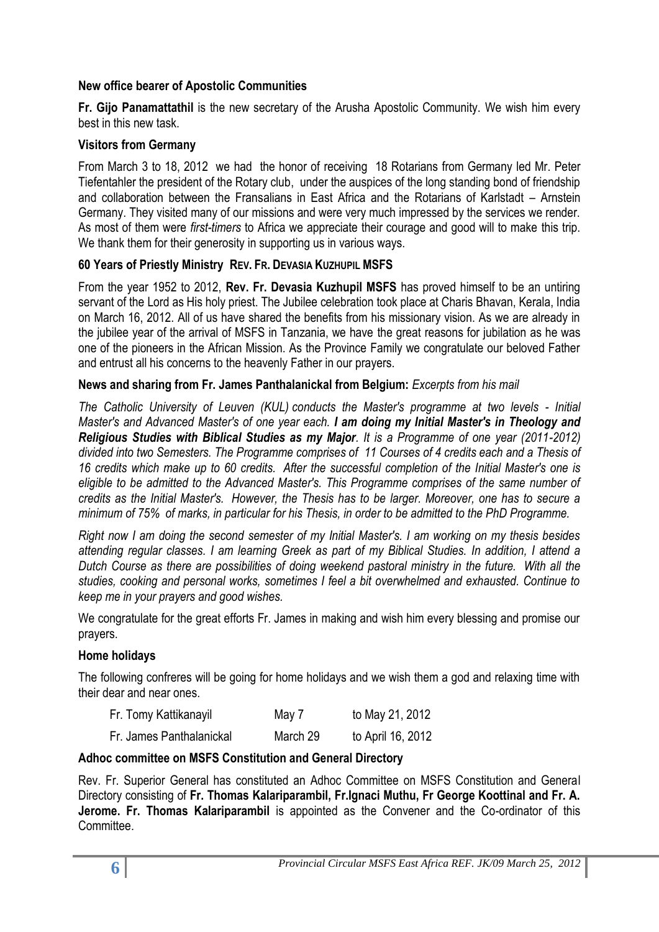## **New office bearer of Apostolic Communities**

**Fr. Gijo Panamattathil** is the new secretary of the Arusha Apostolic Community. We wish him every best in this new task.

## **Visitors from Germany**

From March 3 to 18, 2012 we had the honor of receiving 18 Rotarians from Germany led Mr. Peter Tiefentahler the president of the Rotary club, under the auspices of the long standing bond of friendship and collaboration between the Fransalians in East Africa and the Rotarians of Karlstadt – Arnstein Germany. They visited many of our missions and were very much impressed by the services we render. As most of them were *first-timers* to Africa we appreciate their courage and good will to make this trip. We thank them for their generosity in supporting us in various ways.

## **60 Years of Priestly Ministry REV. FR. DEVASIA KUZHUPIL MSFS**

From the year 1952 to 2012, **Rev. Fr. Devasia Kuzhupil MSFS** has proved himself to be an untiring servant of the Lord as His holy priest. The Jubilee celebration took place at Charis Bhavan, Kerala, India on March 16, 2012. All of us have shared the benefits from his missionary vision. As we are already in the jubilee year of the arrival of MSFS in Tanzania, we have the great reasons for jubilation as he was one of the pioneers in the African Mission. As the Province Family we congratulate our beloved Father and entrust all his concerns to the heavenly Father in our prayers.

## **News and sharing from Fr. James Panthalanickal from Belgium:** *Excerpts from his mail*

*The Catholic University of Leuven (KUL) conducts the Master's programme at two levels - Initial Master's and Advanced Master's of one year each. I am doing my Initial Master's in Theology and Religious Studies with Biblical Studies as my Major. It is a Programme of one year (2011-2012) divided into two Semesters. The Programme comprises of 11 Courses of 4 credits each and a Thesis of 16 credits which make up to 60 credits. After the successful completion of the Initial Master's one is eligible to be admitted to the Advanced Master's. This Programme comprises of the same number of credits as the Initial Master's. However, the Thesis has to be larger. Moreover, one has to secure a minimum of 75% of marks, in particular for his Thesis, in order to be admitted to the PhD Programme.* 

*Right now I am doing the second semester of my Initial Master's. I am working on my thesis besides attending regular classes. I am learning Greek as part of my Biblical Studies. In addition, I attend a Dutch Course as there are possibilities of doing weekend pastoral ministry in the future. With all the studies, cooking and personal works, sometimes I feel a bit overwhelmed and exhausted. Continue to keep me in your prayers and good wishes.*

We congratulate for the great efforts Fr. James in making and wish him every blessing and promise our prayers.

## **Home holidays**

The following confreres will be going for home holidays and we wish them a god and relaxing time with their dear and near ones.

| Fr. Tomy Kattikanayil | May 7 | to May 21, 2012 |
|-----------------------|-------|-----------------|
|                       |       |                 |

| Fr. James Panthalanickal | March 29 | to April 16, 2012 |
|--------------------------|----------|-------------------|
|--------------------------|----------|-------------------|

#### **Adhoc committee on MSFS Constitution and General Directory**

Rev. Fr. Superior General has constituted an Adhoc Committee on MSFS Constitution and General Directory consisting of **Fr. Thomas Kalariparambil, Fr.Ignaci Muthu, Fr George Koottinal and Fr. A. Jerome. Fr. Thomas Kalariparambil** is appointed as the Convener and the Co-ordinator of this Committee.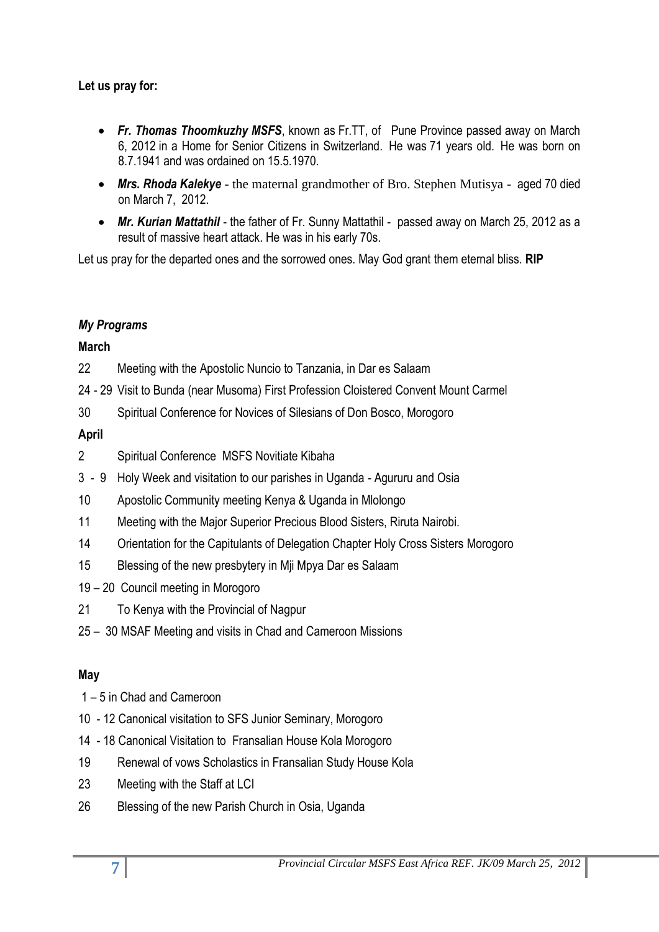# **Let us pray for:**

- *Fr. Thomas Thoomkuzhy MSFS*, known as Fr.TT, of Pune Province passed away on March 6, 2012 in a Home for Senior Citizens in Switzerland. He was 71 years old. He was born on 8.7.1941 and was ordained on 15.5.1970.
- *Mrs. Rhoda Kalekye* the maternal grandmother of Bro. Stephen Mutisya aged 70 died on March 7, 2012.
- *Mr. Kurian Mattathil* the father of Fr. Sunny Mattathil passed away on March 25, 2012 as a result of massive heart attack. He was in his early 70s.

Let us pray for the departed ones and the sorrowed ones. May God grant them eternal bliss. **RIP**

# *My Programs*

# **March**

- 22 Meeting with the Apostolic Nuncio to Tanzania, in Dar es Salaam
- 24 29 Visit to Bunda (near Musoma) First Profession Cloistered Convent Mount Carmel
- 30 Spiritual Conference for Novices of Silesians of Don Bosco, Morogoro

# **April**

- 2 Spiritual Conference MSFS Novitiate Kibaha
- 3 9 Holy Week and visitation to our parishes in Uganda Agururu and Osia
- 10 Apostolic Community meeting Kenya & Uganda in Mlolongo
- 11 Meeting with the Major Superior Precious Blood Sisters, Riruta Nairobi.
- 14 Orientation for the Capitulants of Delegation Chapter Holy Cross Sisters Morogoro
- 15 Blessing of the new presbytery in Mji Mpya Dar es Salaam
- 19 20 Council meeting in Morogoro
- 21 To Kenya with the Provincial of Nagpur
- 25 30 MSAF Meeting and visits in Chad and Cameroon Missions

# **May**

- 1 5 in Chad and Cameroon
- 10 12 Canonical visitation to SFS Junior Seminary, Morogoro
- 14 18 Canonical Visitation to Fransalian House Kola Morogoro
- 19 Renewal of vows Scholastics in Fransalian Study House Kola
- 23 Meeting with the Staff at LCI
- 26 Blessing of the new Parish Church in Osia, Uganda